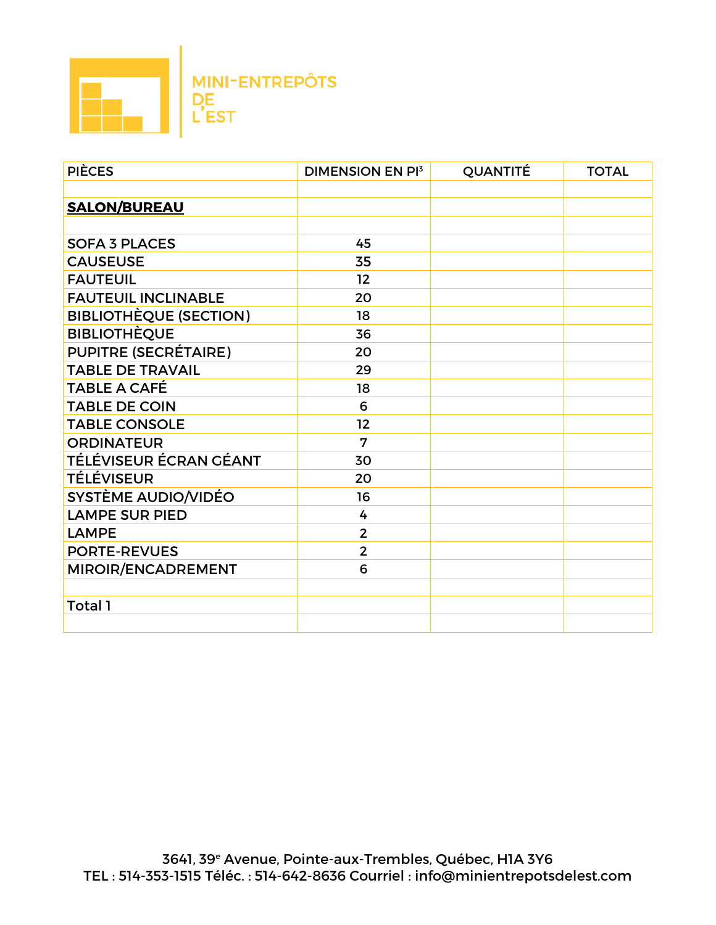

| <b>PIÈCES</b>                 | <b>DIMENSION EN PI3</b> | <b>QUANTITÉ</b> | <b>TOTAL</b> |
|-------------------------------|-------------------------|-----------------|--------------|
|                               |                         |                 |              |
| <b>SALON/BUREAU</b>           |                         |                 |              |
|                               |                         |                 |              |
| <b>SOFA 3 PLACES</b>          | 45                      |                 |              |
| <b>CAUSEUSE</b>               | 35                      |                 |              |
| <b>FAUTEUIL</b>               | 12                      |                 |              |
| <b>FAUTEUIL INCLINABLE</b>    | 20                      |                 |              |
| <b>BIBLIOTHÈQUE (SECTION)</b> | 18                      |                 |              |
| <b>BIBLIOTHÈQUE</b>           | 36                      |                 |              |
| <b>PUPITRE (SECRÉTAIRE)</b>   | 20                      |                 |              |
| <b>TABLE DE TRAVAIL</b>       | 29                      |                 |              |
| <b>TABLE A CAFÉ</b>           | 18                      |                 |              |
| <b>TABLE DE COIN</b>          | 6                       |                 |              |
| <b>TABLE CONSOLE</b>          | 12                      |                 |              |
| <b>ORDINATEUR</b>             | 7                       |                 |              |
| <b>TÉLÉVISEUR ÉCRAN GÉANT</b> | 30                      |                 |              |
| <b>TÉLÉVISEUR</b>             | 20                      |                 |              |
| SYSTÈME AUDIO/VIDÉO           | 16                      |                 |              |
| <b>LAMPE SUR PIED</b>         | 4                       |                 |              |
| <b>LAMPE</b>                  | $\overline{2}$          |                 |              |
| <b>PORTE-REVUES</b>           | $\overline{2}$          |                 |              |
| MIROIR/ENCADREMENT            | 6                       |                 |              |
|                               |                         |                 |              |
| <b>Total 1</b>                |                         |                 |              |
|                               |                         |                 |              |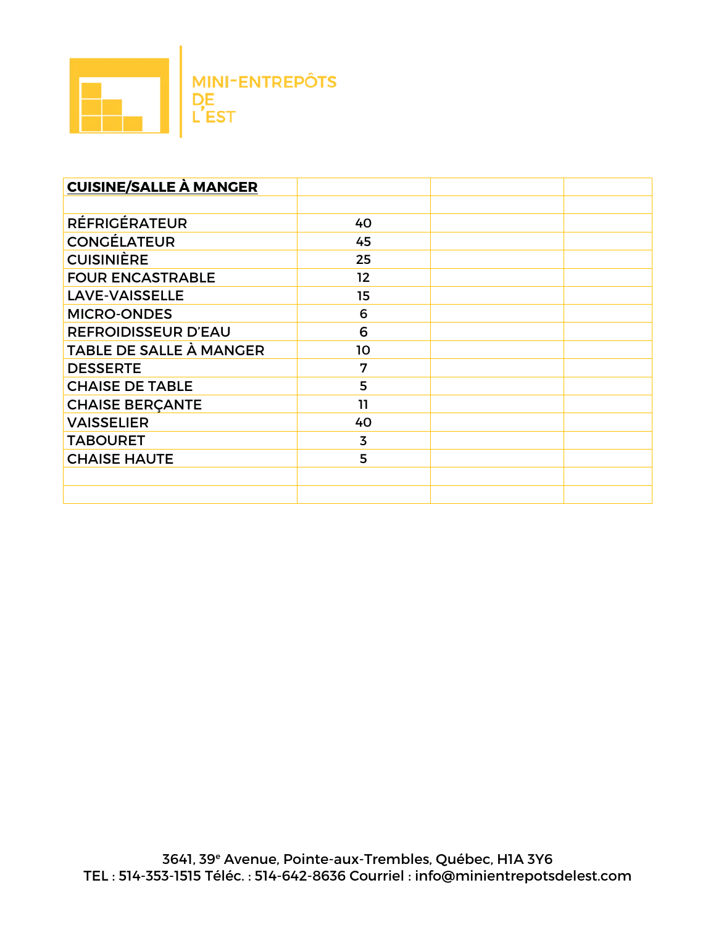

| <b>CUISINE/SALLE À MANGER</b> |    |  |
|-------------------------------|----|--|
|                               |    |  |
| <b>RÉFRIGÉRATEUR</b>          | 40 |  |
| <b>CONGÉLATEUR</b>            | 45 |  |
| <b>CUISINIÈRE</b>             | 25 |  |
| <b>FOUR ENCASTRABLE</b>       | 12 |  |
| <b>LAVE-VAISSELLE</b>         | 15 |  |
| <b>MICRO-ONDES</b>            | 6  |  |
| <b>REFROIDISSEUR D'EAU</b>    | 6  |  |
| TABLE DE SALLE À MANGER       | 10 |  |
| <b>DESSERTE</b>               | 7  |  |
| <b>CHAISE DE TABLE</b>        | 5  |  |
| <b>CHAISE BERÇANTE</b>        | 11 |  |
| <b>VAISSELIER</b>             | 40 |  |
| <b>TABOURET</b>               | 3  |  |
| <b>CHAISE HAUTE</b>           | 5  |  |
|                               |    |  |
|                               |    |  |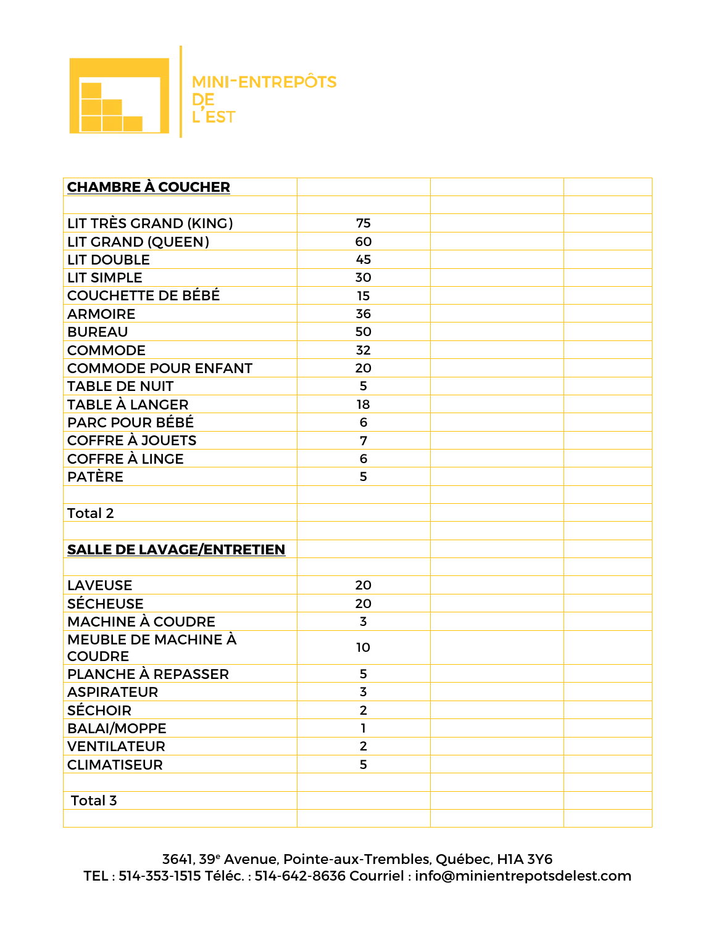

| <b>CHAMBRE À COUCHER</b>             |                |  |
|--------------------------------------|----------------|--|
|                                      |                |  |
| LIT TRÈS GRAND (KING)                | 75             |  |
| <b>LIT GRAND (QUEEN)</b>             | 60             |  |
| <b>LIT DOUBLE</b>                    | 45             |  |
| <b>LIT SIMPLE</b>                    | 30             |  |
| <b>COUCHETTE DE BÉBÉ</b>             | 15             |  |
| <b>ARMOIRE</b>                       | 36             |  |
| <b>BUREAU</b>                        | 50             |  |
| <b>COMMODE</b>                       | 32             |  |
| <b>COMMODE POUR ENFANT</b>           | 20             |  |
| <b>TABLE DE NUIT</b>                 | 5              |  |
| <b>TABLE À LANGER</b>                | 18             |  |
| <b>PARC POUR BÉBÉ</b>                | 6              |  |
| <b>COFFRE À JOUETS</b>               | 7              |  |
| <b>COFFRE À LINGE</b>                | 6              |  |
| <b>PATÈRE</b>                        | 5              |  |
|                                      |                |  |
| <b>Total 2</b>                       |                |  |
|                                      |                |  |
| <b>SALLE DE LAVAGE/ENTRETIEN</b>     |                |  |
|                                      |                |  |
| <b>LAVEUSE</b>                       | 20             |  |
| <b>SÉCHEUSE</b>                      | 20             |  |
| <b>MACHINE À COUDRE</b>              | 3              |  |
| MEUBLE DE MACHINE À<br><b>COUDRE</b> | 10             |  |
| PLANCHE À REPASSER                   | 5              |  |
| <b>ASPIRATEUR</b>                    | $\overline{3}$ |  |
| <b>SÉCHOIR</b>                       | $\overline{2}$ |  |
| <b>BALAI/MOPPE</b>                   | ı              |  |
| <b>VENTILATEUR</b>                   | $\overline{2}$ |  |
| <b>CLIMATISEUR</b>                   | 5              |  |
|                                      |                |  |
| Total 3                              |                |  |
|                                      |                |  |